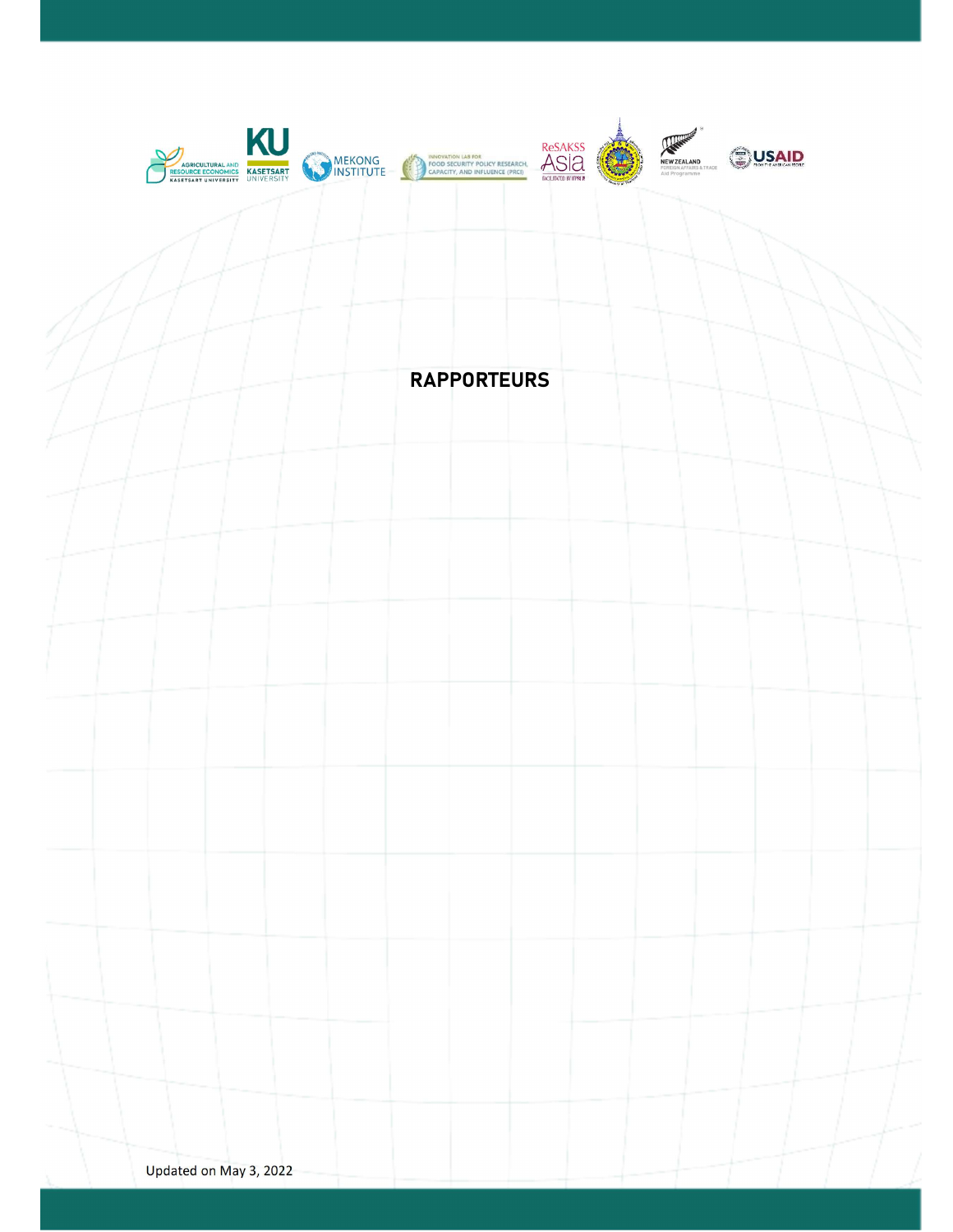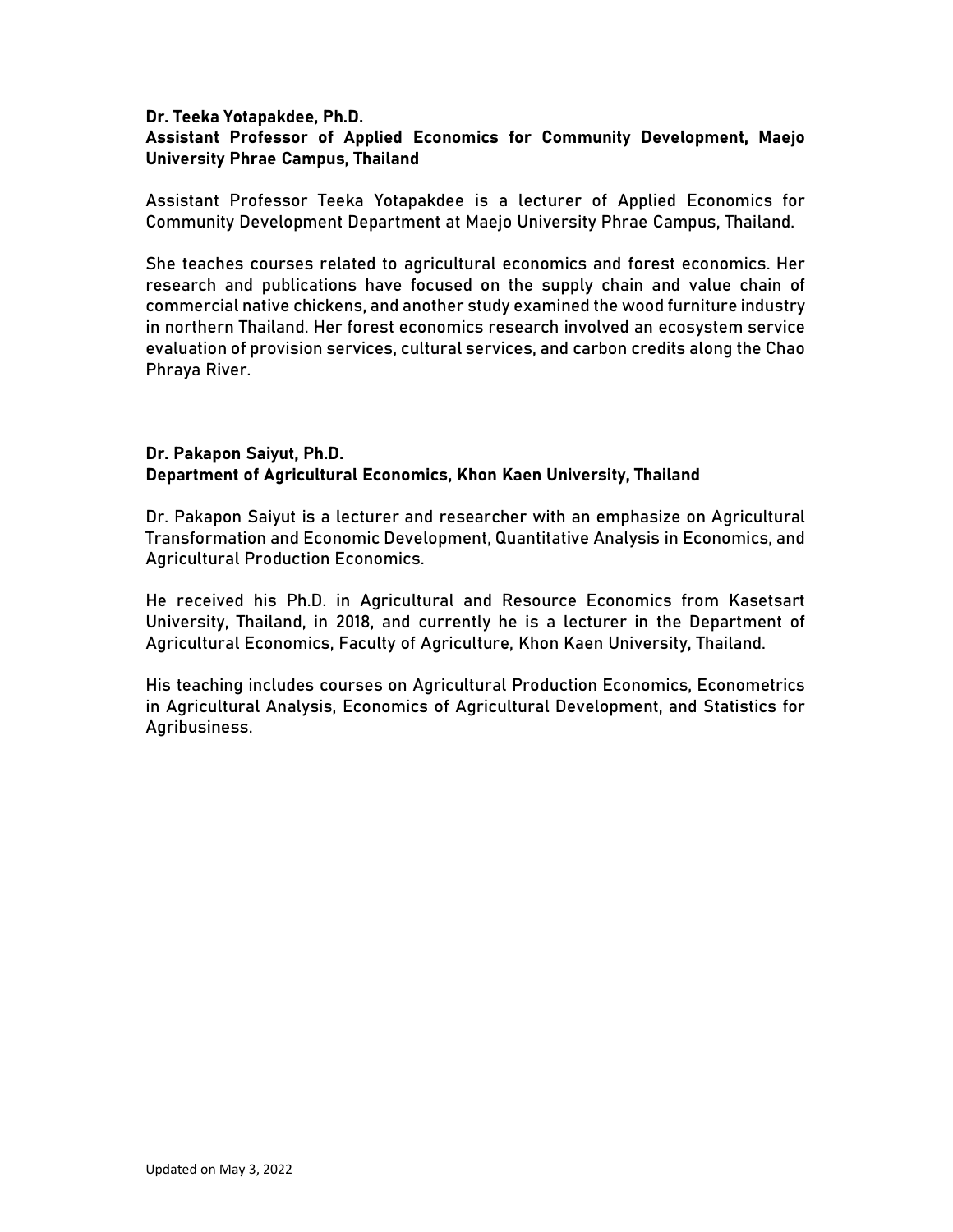## Dr. Teeka Yotapakdee, Ph.D. Assistant Professor of Applied Economics for Community Development, Maejo University Phrae Campus, Thailand

Assistant Professor Teeka Yotapakdee is a lecturer of Applied Economics for Community Development Department at Maejo University Phrae Campus, Thailand.

She teaches courses related to agricultural economics and forest economics. Her research and publications have focused on the supply chain and value chain of commercial native chickens, and another study examined the wood furniture industry in northern Thailand. Her forest economics research involved an ecosystem service evaluation of provision services, cultural services, and carbon credits along the Chao Phraya River.

## Dr. Pakapon Saiyut, Ph.D. Department of Agricultural Economics, Khon Kaen University, Thailand

Dr. Pakapon Saiyut is a lecturer and researcher with an emphasize on Agricultural Transformation and Economic Development, Quantitative Analysis in Economics, and Agricultural Production Economics.

He received his Ph.D. in Agricultural and Resource Economics from Kasetsart University, Thailand, in 2018, and currently he is a lecturer in the Department of Agricultural Economics, Faculty of Agriculture, Khon Kaen University, Thailand.

His teaching includes courses on Agricultural Production Economics, Econometrics in Agricultural Analysis, Economics of Agricultural Development, and Statistics for Agribusiness.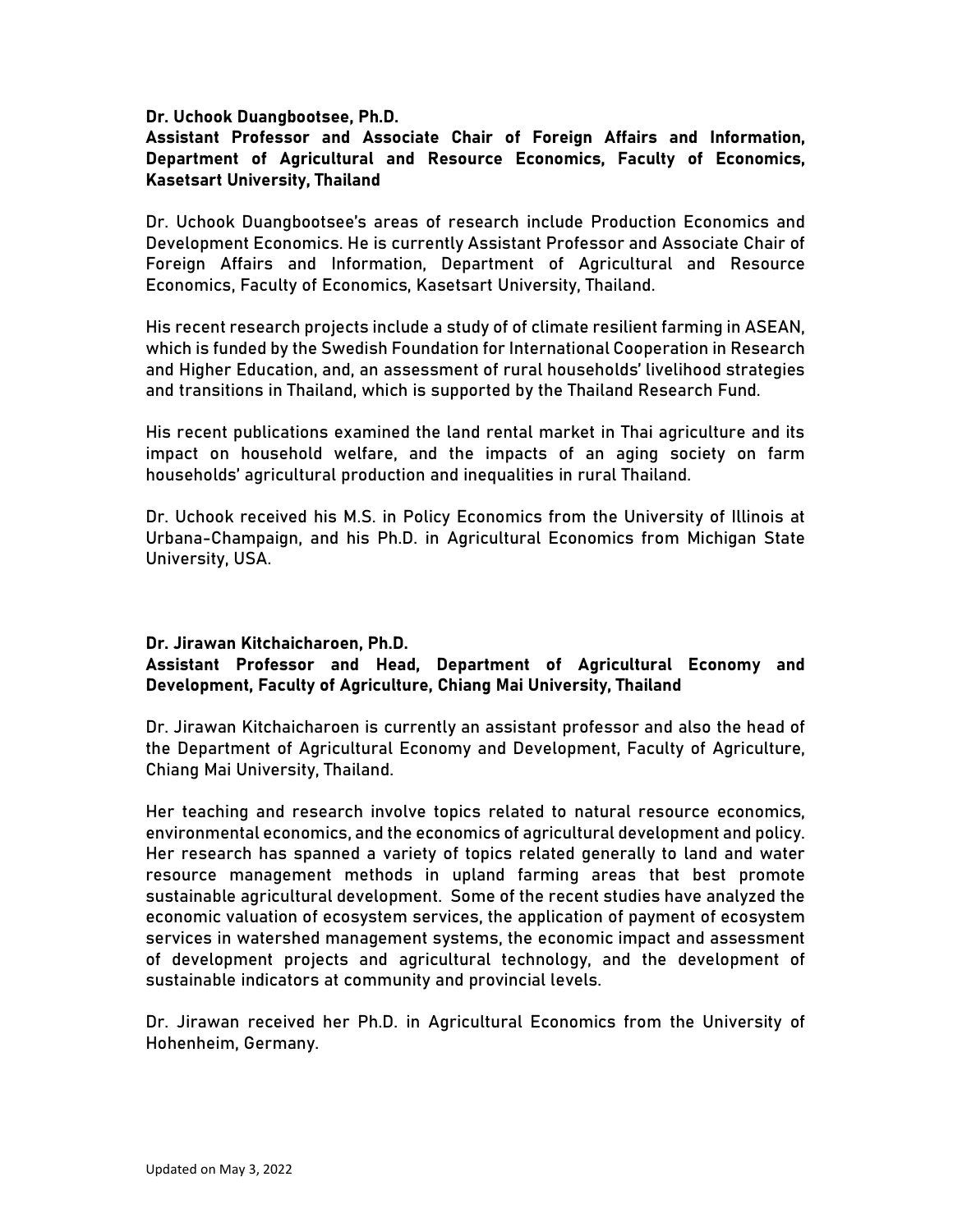#### Dr. Uchook Duangbootsee, Ph.D.

## Assistant Professor and Associate Chair of Foreign Affairs and Information, Department of Agricultural and Resource Economics, Faculty of Economics, Kasetsart University, Thailand

Dr. Uchook Duangbootsee's areas of research include Production Economics and Development Economics. He is currently Assistant Professor and Associate Chair of Foreign Affairs and Information, Department of Agricultural and Resource Economics, Faculty of Economics, Kasetsart University, Thailand.

His recent research projects include a study of of climate resilient farming in ASEAN, which is funded by the Swedish Foundation for International Cooperation in Research and Higher Education, and, an assessment of rural households' livelihood strategies and transitions in Thailand, which is supported by the Thailand Research Fund.

His recent publications examined the land rental market in Thai agriculture and its impact on household welfare, and the impacts of an aging society on farm households' agricultural production and inequalities in rural Thailand.

Dr. Uchook received his M.S. in Policy Economics from the University of Illinois at Urbana-Champaign, and his Ph.D. in Agricultural Economics from Michigan State University, USA.

#### Dr. Jirawan Kitchaicharoen, Ph.D.

## Assistant Professor and Head, Department of Agricultural Economy and Development, Faculty of Agriculture, Chiang Mai University, Thailand

Dr. Jirawan Kitchaicharoen is currently an assistant professor and also the head of the Department of Agricultural Economy and Development, Faculty of Agriculture, Chiang Mai University, Thailand.

Her teaching and research involve topics related to natural resource economics, environmental economics, and the economics of agricultural development and policy. Her research has spanned a variety of topics related generally to land and water resource management methods in upland farming areas that best promote sustainable agricultural development. Some of the recent studies have analyzed the economic valuation of ecosystem services, the application of payment of ecosystem services in watershed management systems, the economic impact and assessment of development projects and agricultural technology, and the development of sustainable indicators at community and provincial levels.

Dr. Jirawan received her Ph.D. in Agricultural Economics from the University of Hohenheim, Germany.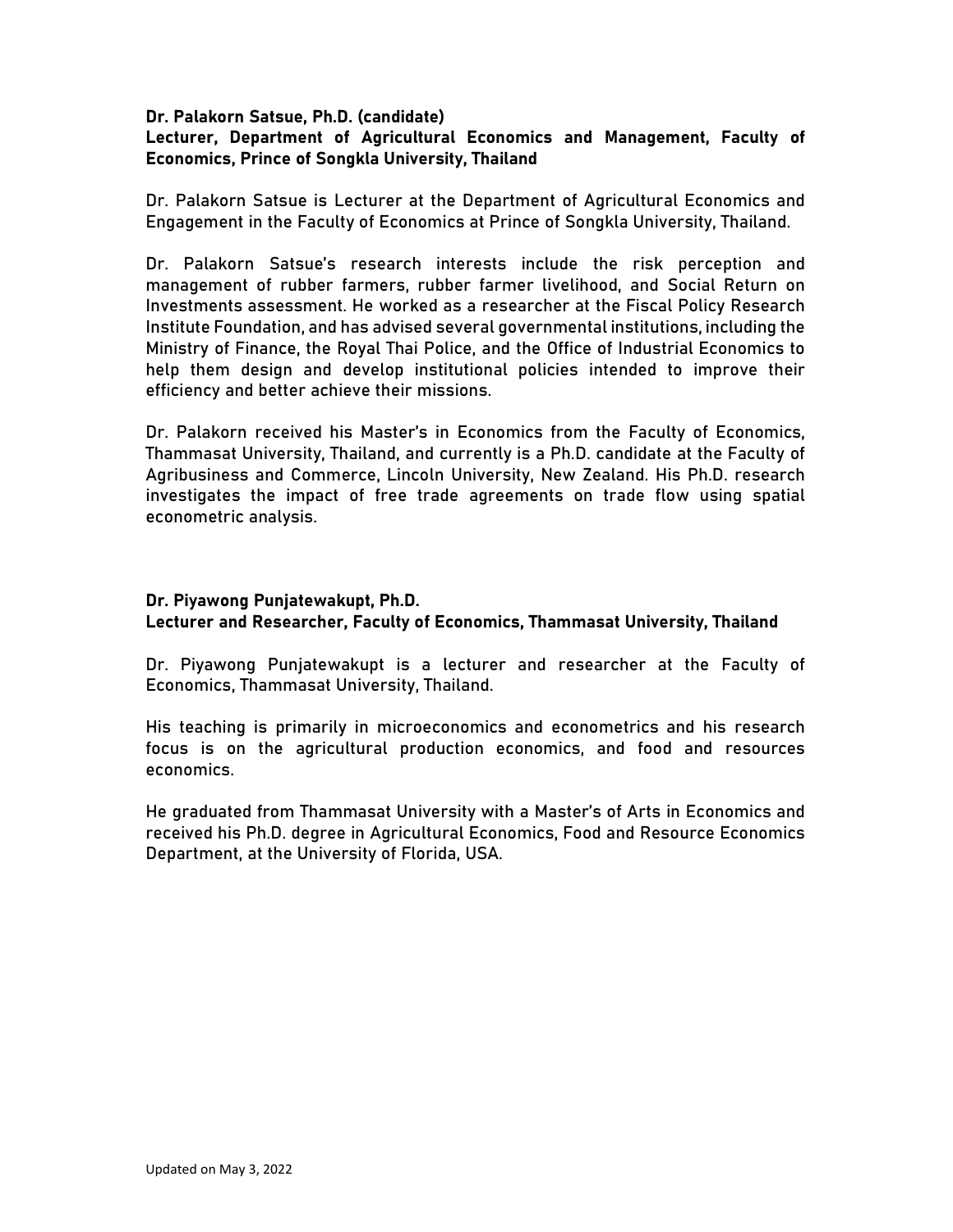### Dr. Palakorn Satsue, Ph.D. (candidate) Lecturer, Department of Agricultural Economics and Management, Faculty of Economics, Prince of Songkla University, Thailand

Dr. Palakorn Satsue is Lecturer at the Department of Agricultural Economics and Engagement in the Faculty of Economics at Prince of Songkla University, Thailand.

Dr. Palakorn Satsue's research interests include the risk perception and management of rubber farmers, rubber farmer livelihood, and Social Return on Investments assessment. He worked as a researcher at the Fiscal Policy Research Institute Foundation, and has advised several governmental institutions, including the Ministry of Finance, the Royal Thai Police, and the Office of Industrial Economics to help them design and develop institutional policies intended to improve their efficiency and better achieve their missions.

Dr. Palakorn received his Master's in Economics from the Faculty of Economics, Thammasat University, Thailand, and currently is a Ph.D. candidate at the Faculty of Agribusiness and Commerce, Lincoln University, New Zealand. His Ph.D. research investigates the impact of free trade agreements on trade flow using spatial econometric analysis.

# Dr. Piyawong Punjatewakupt, Ph.D. Lecturer and Researcher, Faculty of Economics, Thammasat University, Thailand

Dr. Piyawong Punjatewakupt is a lecturer and researcher at the Faculty of Economics, Thammasat University, Thailand.

His teaching is primarily in microeconomics and econometrics and his research focus is on the agricultural production economics, and food and resources economics.

He graduated from Thammasat University with a Master's of Arts in Economics and received his Ph.D. degree in Agricultural Economics, Food and Resource Economics Department, at the University of Florida, USA.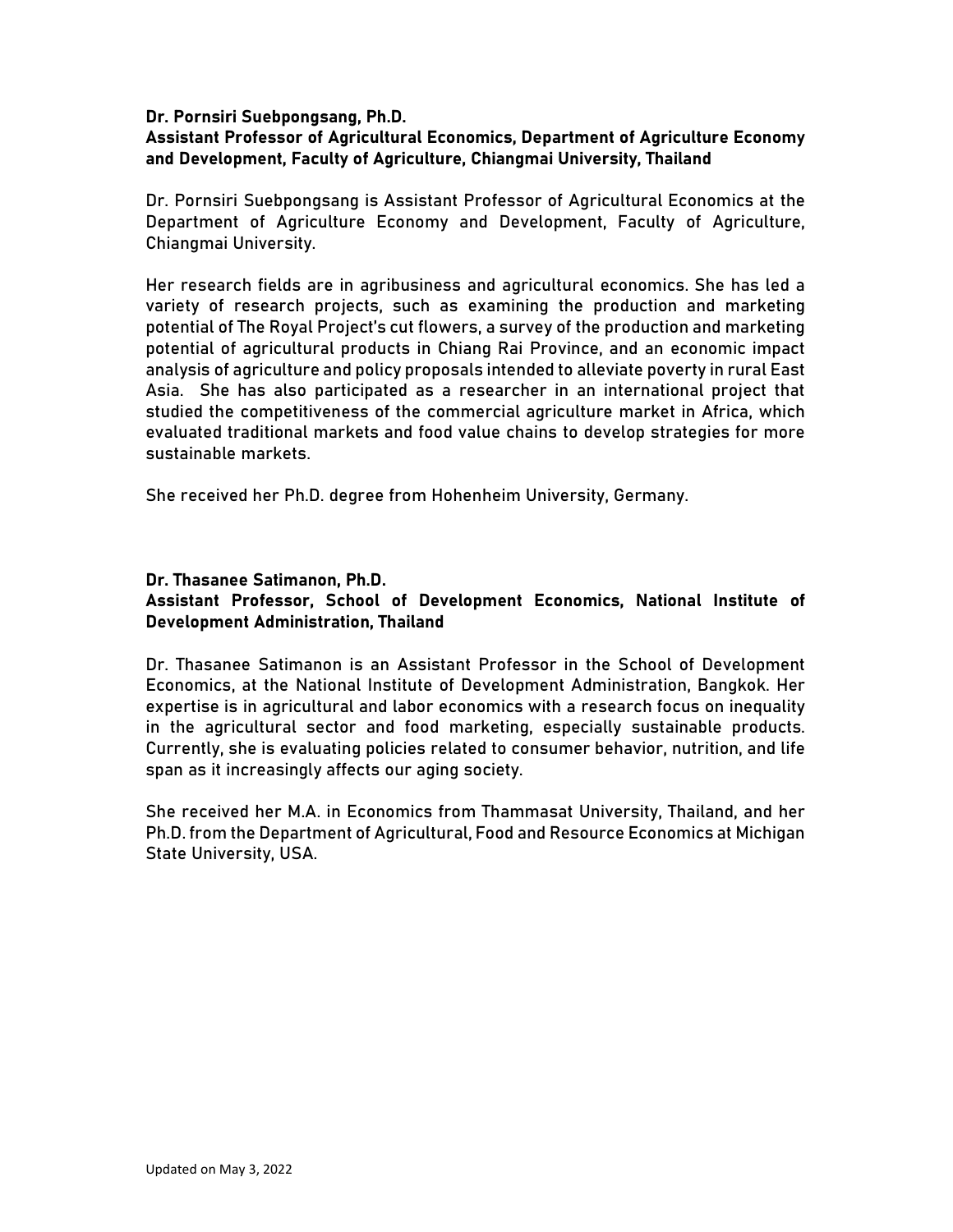### Dr. Pornsiri Suebpongsang, Ph.D.

# Assistant Professor of Agricultural Economics, Department of Agriculture Economy and Development, Faculty of Agriculture, Chiangmai University, Thailand

Dr. Pornsiri Suebpongsang is Assistant Professor of Agricultural Economics at the Department of Agriculture Economy and Development, Faculty of Agriculture, Chiangmai University.

Her research fields are in agribusiness and agricultural economics. She has led a variety of research projects, such as examining the production and marketing potential of The Royal Project's cut flowers, a survey of the production and marketing potential of agricultural products in Chiang Rai Province, and an economic impact analysis of agriculture and policy proposals intended to alleviate poverty in rural East Asia. She has also participated as a researcher in an international project that studied the competitiveness of the commercial agriculture market in Africa, which evaluated traditional markets and food value chains to develop strategies for more sustainable markets.

She received her Ph.D. degree from Hohenheim University, Germany.

#### Dr. Thasanee Satimanon, Ph.D.

## Assistant Professor, School of Development Economics, National Institute of Development Administration, Thailand

Dr. Thasanee Satimanon is an Assistant Professor in the School of Development Economics, at the National Institute of Development Administration, Bangkok. Her expertise is in agricultural and labor economics with a research focus on inequality in the agricultural sector and food marketing, especially sustainable products. Currently, she is evaluating policies related to consumer behavior, nutrition, and life span as it increasingly affects our aging society.

She received her M.A. in Economics from Thammasat University, Thailand, and her Ph.D. from the Department of Agricultural, Food and Resource Economics at Michigan State University, USA.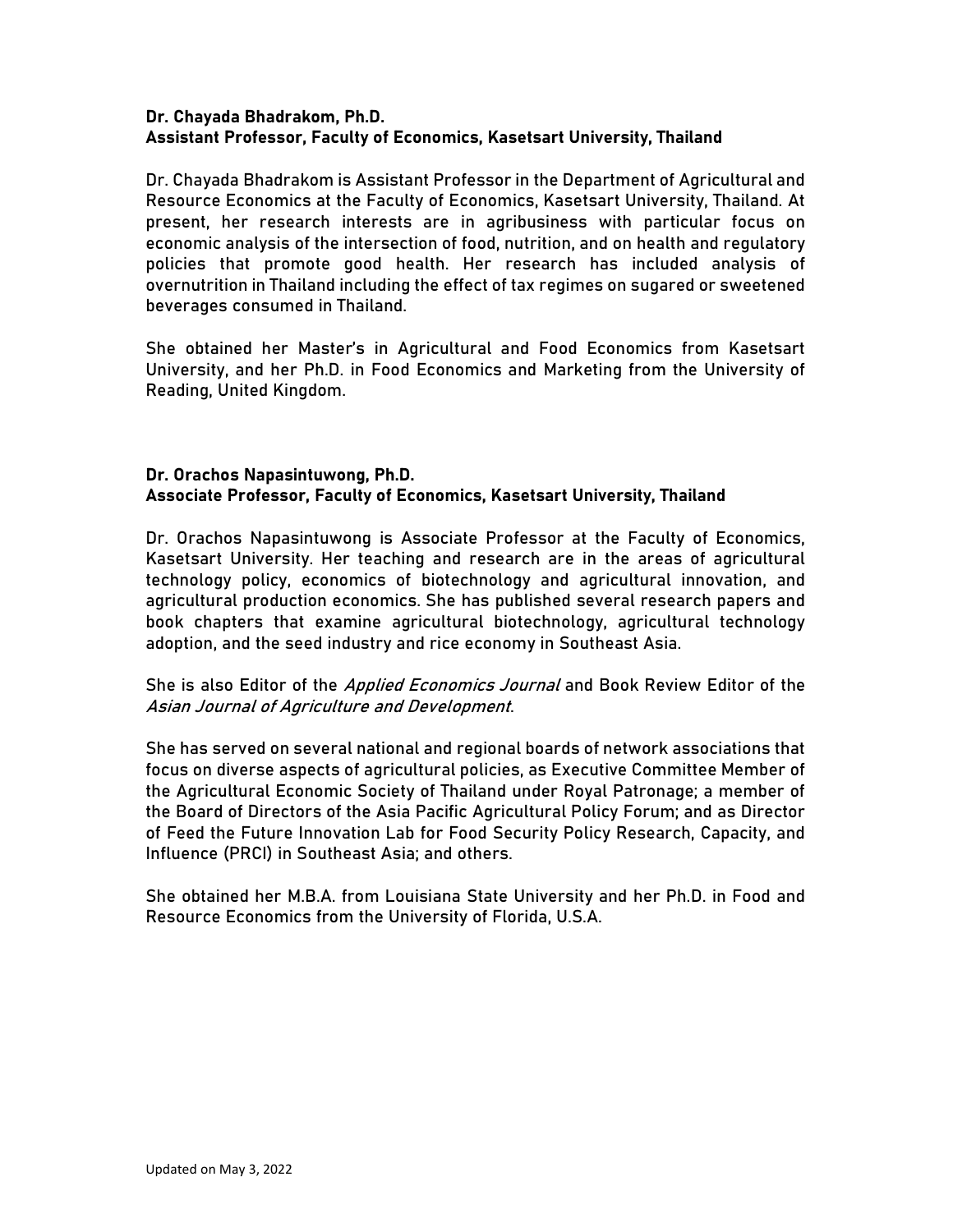## Dr. Chayada Bhadrakom, Ph.D. Assistant Professor, Faculty of Economics, Kasetsart University, Thailand

Dr. Chayada Bhadrakom is Assistant Professor in the Department of Agricultural and Resource Economics at the Faculty of Economics, Kasetsart University, Thailand. At present, her research interests are in agribusiness with particular focus on economic analysis of the intersection of food, nutrition, and on health and regulatory policies that promote good health. Her research has included analysis of overnutrition in Thailand including the effect of tax regimes on sugared or sweetened beverages consumed in Thailand.

She obtained her Master's in Agricultural and Food Economics from Kasetsart University, and her Ph.D. in Food Economics and Marketing from the University of Reading, United Kingdom.

# Dr. Orachos Napasintuwong, Ph.D. Associate Professor, Faculty of Economics, Kasetsart University, Thailand

Dr. Orachos Napasintuwong is Associate Professor at the Faculty of Economics, Kasetsart University. Her teaching and research are in the areas of agricultural technology policy, economics of biotechnology and agricultural innovation, and agricultural production economics. She has published several research papers and book chapters that examine agricultural biotechnology, agricultural technology adoption, and the seed industry and rice economy in Southeast Asia.

## She is also Editor of the *Applied Economics Journal* and Book Review Editor of the Asian Journal of Agriculture and Development.

She has served on several national and regional boards of network associations that focus on diverse aspects of agricultural policies, as Executive Committee Member of the Agricultural Economic Society of Thailand under Royal Patronage; a member of the Board of Directors of the Asia Pacific Agricultural Policy Forum; and as Director of Feed the Future Innovation Lab for Food Security Policy Research, Capacity, and Influence (PRCI) in Southeast Asia; and others.

She obtained her M.B.A. from Louisiana State University and her Ph.D. in Food and Resource Economics from the University of Florida, U.S.A.